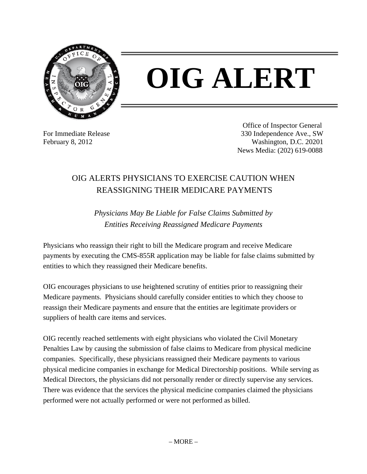

## **OIG ALERT**

For Immediate Release February 8, 2012

Office of Inspector General 330 Independence Ave., SW Washington, D.C. 20201 News Media: (202) 619-0088

## OIG ALERTS PHYSICIANS TO EXERCISE CAUTION WHEN REASSIGNING THEIR MEDICARE PAYMENTS

*Physicians May Be Liable for False Claims Submitted by Entities Receiving Reassigned Medicare Payments* 

Physicians who reassign their right to bill the Medicare program and receive Medicare payments by executing the CMS-855R application may be liable for false claims submitted by entities to which they reassigned their Medicare benefits.

OIG encourages physicians to use heightened scrutiny of entities prior to reassigning their Medicare payments. Physicians should carefully consider entities to which they choose to reassign their Medicare payments and ensure that the entities are legitimate providers or suppliers of health care items and services.

OIG recently reached settlements with eight physicians who violated the Civil Monetary Penalties Law by causing the submission of false claims to Medicare from physical medicine companies. Specifically, these physicians reassigned their Medicare payments to various physical medicine companies in exchange for Medical Directorship positions. While serving as Medical Directors, the physicians did not personally render or directly supervise any services. There was evidence that the services the physical medicine companies claimed the physicians performed were not actually performed or were not performed as billed.